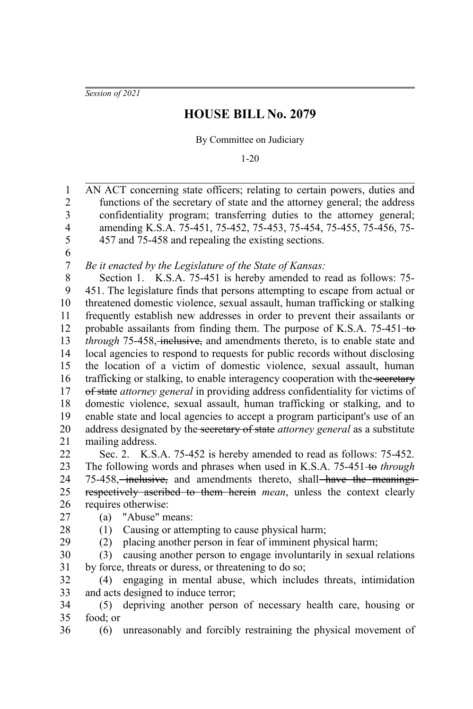*Session of 2021*

## **HOUSE BILL No. 2079**

By Committee on Judiciary

1-20

AN ACT concerning state officers; relating to certain powers, duties and functions of the secretary of state and the attorney general; the address confidentiality program; transferring duties to the attorney general; amending K.S.A. 75-451, 75-452, 75-453, 75-454, 75-455, 75-456, 75- 457 and 75-458 and repealing the existing sections. 1 2 3 4 5

6 7

*Be it enacted by the Legislature of the State of Kansas:*

Section 1. K.S.A. 75-451 is hereby amended to read as follows: 75- 451. The legislature finds that persons attempting to escape from actual or threatened domestic violence, sexual assault, human trafficking or stalking frequently establish new addresses in order to prevent their assailants or probable assailants from finding them. The purpose of K.S.A.  $75-451-$ to *through* 75-458, inclusive, and amendments thereto, is to enable state and local agencies to respond to requests for public records without disclosing the location of a victim of domestic violence, sexual assault, human trafficking or stalking, to enable interagency cooperation with the secretary of state *attorney general* in providing address confidentiality for victims of domestic violence, sexual assault, human trafficking or stalking, and to enable state and local agencies to accept a program participant's use of an address designated by the secretary of state *attorney general* as a substitute mailing address. 8 9 10 11 12 13 14 15 16 17 18 19 20 21

Sec. 2. K.S.A. 75-452 is hereby amended to read as follows: 75-452. The following words and phrases when used in K.S.A. 75-451 to *through* 75-458, inclusive, and amendments thereto, shall have the meaningsrespectively ascribed to them herein *mean*, unless the context clearly requires otherwise: 22 23 24 25 26

(a) "Abuse" means: 27

28

36

(1) Causing or attempting to cause physical harm;

(2) placing another person in fear of imminent physical harm; 29

(3) causing another person to engage involuntarily in sexual relations by force, threats or duress, or threatening to do so; 30 31

(4) engaging in mental abuse, which includes threats, intimidation and acts designed to induce terror; 32 33

(5) depriving another person of necessary health care, housing or food; or 34 35

(6) unreasonably and forcibly restraining the physical movement of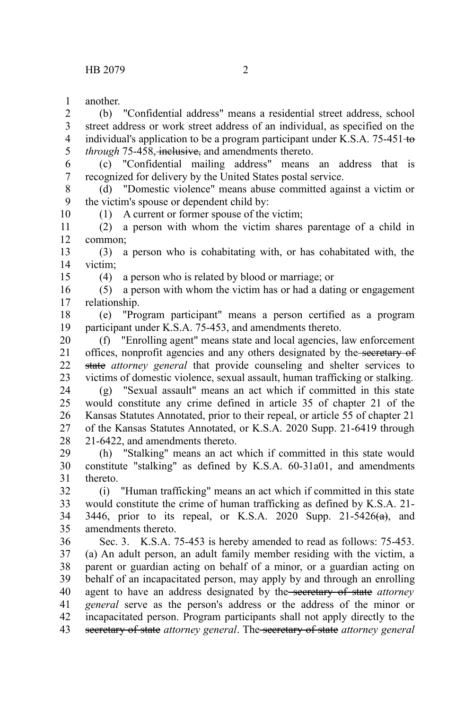another. 1

(b) "Confidential address" means a residential street address, school street address or work street address of an individual, as specified on the individual's application to be a program participant under K.S.A.  $75-451 \pm 0.$ *through* 75-458, *inclusive*, and amendments thereto. 2 3 4 5

(c) "Confidential mailing address" means an address that is recognized for delivery by the United States postal service. 6 7

(d) "Domestic violence" means abuse committed against a victim or the victim's spouse or dependent child by: 8 9

(1) A current or former spouse of the victim;

(2) a person with whom the victim shares parentage of a child in common; 11 12

(3) a person who is cohabitating with, or has cohabitated with, the victim; 13 14

15

10

(4) a person who is related by blood or marriage; or

(5) a person with whom the victim has or had a dating or engagement relationship. 16 17

(e) "Program participant" means a person certified as a program participant under K.S.A. 75-453, and amendments thereto. 18 19

(f) "Enrolling agent" means state and local agencies, law enforcement offices, nonprofit agencies and any others designated by the secretary of state attorney general that provide counseling and shelter services to victims of domestic violence, sexual assault, human trafficking or stalking. 20 21 22 23

(g) "Sexual assault" means an act which if committed in this state would constitute any crime defined in article 35 of chapter 21 of the Kansas Statutes Annotated, prior to their repeal, or article 55 of chapter 21 of the Kansas Statutes Annotated, or K.S.A. 2020 Supp. 21-6419 through 21-6422, and amendments thereto. 24 25 26 27 28

(h) "Stalking" means an act which if committed in this state would constitute "stalking" as defined by K.S.A. 60-31a01, and amendments thereto. 29 30 31

(i) "Human trafficking" means an act which if committed in this state would constitute the crime of human trafficking as defined by K.S.A. 21- 3446, prior to its repeal, or K.S.A. 2020 Supp.  $21-5426(a)$ , and amendments thereto. 32 33 34 35

Sec. 3. K.S.A. 75-453 is hereby amended to read as follows: 75-453. (a) An adult person, an adult family member residing with the victim, a parent or guardian acting on behalf of a minor, or a guardian acting on behalf of an incapacitated person, may apply by and through an enrolling agent to have an address designated by the secretary of state *attorney general* serve as the person's address or the address of the minor or incapacitated person. Program participants shall not apply directly to the secretary of state *attorney general*. The secretary of state *attorney general* 36 37 38 39 40 41 42 43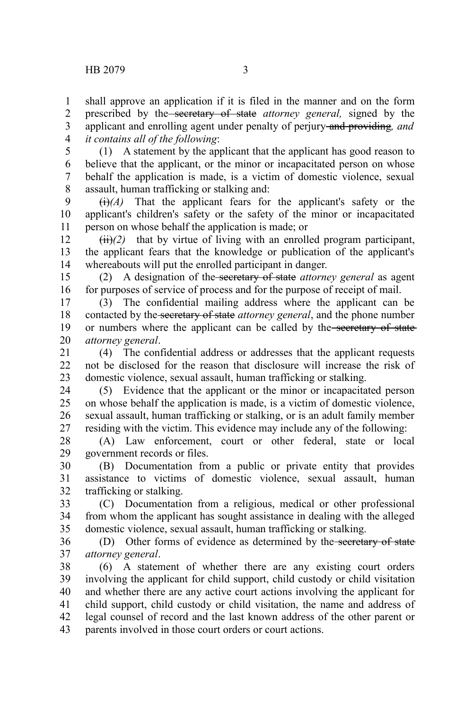1 2 3

shall approve an application if it is filed in the manner and on the form prescribed by the secretary of state *attorney general,* signed by the applicant and enrolling agent under penalty of perjury and providing*, and*

*it contains all of the following*: 4

(1) A statement by the applicant that the applicant has good reason to believe that the applicant, or the minor or incapacitated person on whose behalf the application is made, is a victim of domestic violence, sexual assault, human trafficking or stalking and: 5 6 7 8

 $\overrightarrow{(i)}(A)$  That the applicant fears for the applicant's safety or the applicant's children's safety or the safety of the minor or incapacitated person on whose behalf the application is made; or 9 10 11

 $(ii)(2)$  that by virtue of living with an enrolled program participant, the applicant fears that the knowledge or publication of the applicant's whereabouts will put the enrolled participant in danger. 12 13 14

(2) A designation of the secretary of state *attorney general* as agent for purposes of service of process and for the purpose of receipt of mail. 15 16

(3) The confidential mailing address where the applicant can be contacted by the secretary of state *attorney general*, and the phone number or numbers where the applicant can be called by the secretary of state *attorney general*. 17 18 19 20

(4) The confidential address or addresses that the applicant requests not be disclosed for the reason that disclosure will increase the risk of domestic violence, sexual assault, human trafficking or stalking. 21 22 23

(5) Evidence that the applicant or the minor or incapacitated person on whose behalf the application is made, is a victim of domestic violence, sexual assault, human trafficking or stalking, or is an adult family member residing with the victim. This evidence may include any of the following: 24 25 26 27

(A) Law enforcement, court or other federal, state or local government records or files. 28 29

(B) Documentation from a public or private entity that provides assistance to victims of domestic violence, sexual assault, human trafficking or stalking. 30 31 32

(C) Documentation from a religious, medical or other professional from whom the applicant has sought assistance in dealing with the alleged domestic violence, sexual assault, human trafficking or stalking. 33 34 35

(D) Other forms of evidence as determined by the secretary of state *attorney general*. 36 37

(6) A statement of whether there are any existing court orders involving the applicant for child support, child custody or child visitation and whether there are any active court actions involving the applicant for child support, child custody or child visitation, the name and address of legal counsel of record and the last known address of the other parent or parents involved in those court orders or court actions. 38 39 40 41 42 43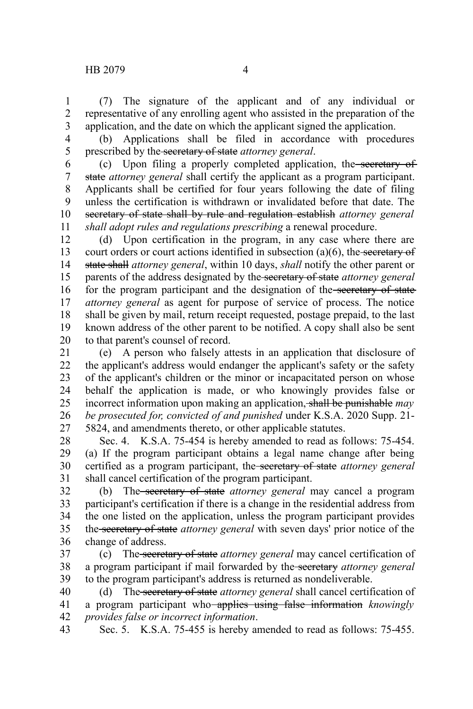(7) The signature of the applicant and of any individual or representative of any enrolling agent who assisted in the preparation of the application, and the date on which the applicant signed the application. 1 2 3

4 5

(b) Applications shall be filed in accordance with procedures prescribed by the secretary of state *attorney general*.

(c) Upon filing a properly completed application, the secretary of state *attorney general* shall certify the applicant as a program participant. Applicants shall be certified for four years following the date of filing unless the certification is withdrawn or invalidated before that date. The secretary of state shall by rule and regulation establish *attorney general shall adopt rules and regulations prescribing* a renewal procedure. 6 7 8 9 10 11

(d) Upon certification in the program, in any case where there are court orders or court actions identified in subsection  $(a)(6)$ , the secretary of state shall *attorney general*, within 10 days, *shall* notify the other parent or parents of the address designated by the secretary of state *attorney general* for the program participant and the designation of the secretary of state *attorney general* as agent for purpose of service of process. The notice shall be given by mail, return receipt requested, postage prepaid, to the last known address of the other parent to be notified. A copy shall also be sent to that parent's counsel of record. 12 13 14 15 16 17 18 19 20

(e) A person who falsely attests in an application that disclosure of the applicant's address would endanger the applicant's safety or the safety of the applicant's children or the minor or incapacitated person on whose behalf the application is made, or who knowingly provides false or incorrect information upon making an application, shall be punishable *may be prosecuted for, convicted of and punished* under K.S.A. 2020 Supp. 21- 5824, and amendments thereto, or other applicable statutes. 21 22 23 24 25 26 27

Sec. 4. K.S.A. 75-454 is hereby amended to read as follows: 75-454. (a) If the program participant obtains a legal name change after being certified as a program participant, the secretary of state *attorney general* shall cancel certification of the program participant. 28 29 30 31

(b) The secretary of state *attorney general* may cancel a program participant's certification if there is a change in the residential address from the one listed on the application, unless the program participant provides the secretary of state *attorney general* with seven days' prior notice of the change of address. 32 33 34 35 36

(c) The secretary of state *attorney general* may cancel certification of a program participant if mail forwarded by the secretary *attorney general* to the program participant's address is returned as nondeliverable. 37 38 39

(d) The secretary of state *attorney general* shall cancel certification of a program participant who applies using false information *knowingly provides false or incorrect information*. 40 41 42

Sec. 5. K.S.A. 75-455 is hereby amended to read as follows: 75-455. 43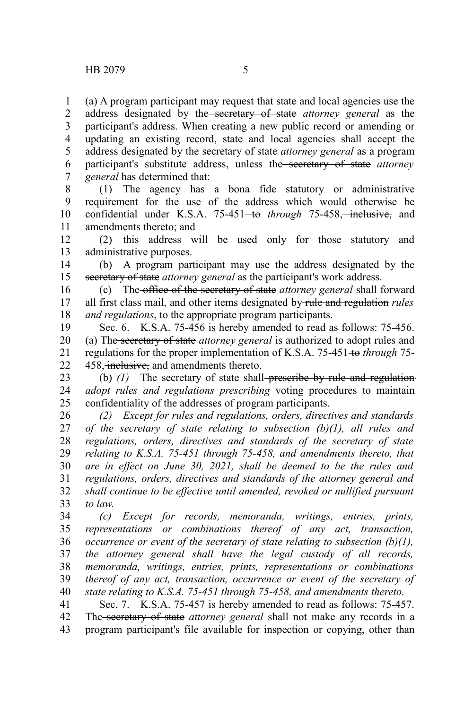(a) A program participant may request that state and local agencies use the address designated by the secretary of state *attorney general* as the participant's address. When creating a new public record or amending or updating an existing record, state and local agencies shall accept the address designated by the secretary of state *attorney general* as a program participant's substitute address, unless the secretary of state *attorney general* has determined that: 1 2 3 4 5 6 7

(1) The agency has a bona fide statutory or administrative requirement for the use of the address which would otherwise be confidential under K.S.A. 75-451<del> to</del> through 75-458, inclusive, and amendments thereto; and 8 9 10 11

(2) this address will be used only for those statutory and administrative purposes. 12 13

(b) A program participant may use the address designated by the secretary of state *attorney general* as the participant's work address. 14 15

(c) The office of the secretary of state *attorney general* shall forward all first class mail, and other items designated by rule and regulation *rules and regulations*, to the appropriate program participants. 16 17 18

Sec. 6. K.S.A. 75-456 is hereby amended to read as follows: 75-456. (a) The secretary of state *attorney general* is authorized to adopt rules and regulations for the proper implementation of K.S.A. 75-451 to *through* 75- 458, inclusive, and amendments thereto. 19 20 21 22

(b) (1) The secretary of state shall-preseribe by rule and regulation*adopt rules and regulations prescribing* voting procedures to maintain confidentiality of the addresses of program participants. 23 24 25

*(2) Except for rules and regulations, orders, directives and standards of the secretary of state relating to subsection (b)(1), all rules and regulations, orders, directives and standards of the secretary of state relating to K.S.A. 75-451 through 75-458, and amendments thereto, that are in effect on June 30, 2021, shall be deemed to be the rules and regulations, orders, directives and standards of the attorney general and shall continue to be effective until amended, revoked or nullified pursuant to law.* 26 27 28 29 30 31 32 33

*(c) Except for records, memoranda, writings, entries, prints, representations or combinations thereof of any act, transaction, occurrence or event of the secretary of state relating to subsection (b)(1), the attorney general shall have the legal custody of all records, memoranda, writings, entries, prints, representations or combinations thereof of any act, transaction, occurrence or event of the secretary of state relating to K.S.A. 75-451 through 75-458, and amendments thereto.* 34 35 36 37 38 39 40

Sec. 7. K.S.A. 75-457 is hereby amended to read as follows: 75-457. The secretary of state *attorney general* shall not make any records in a program participant's file available for inspection or copying, other than 41 42 43